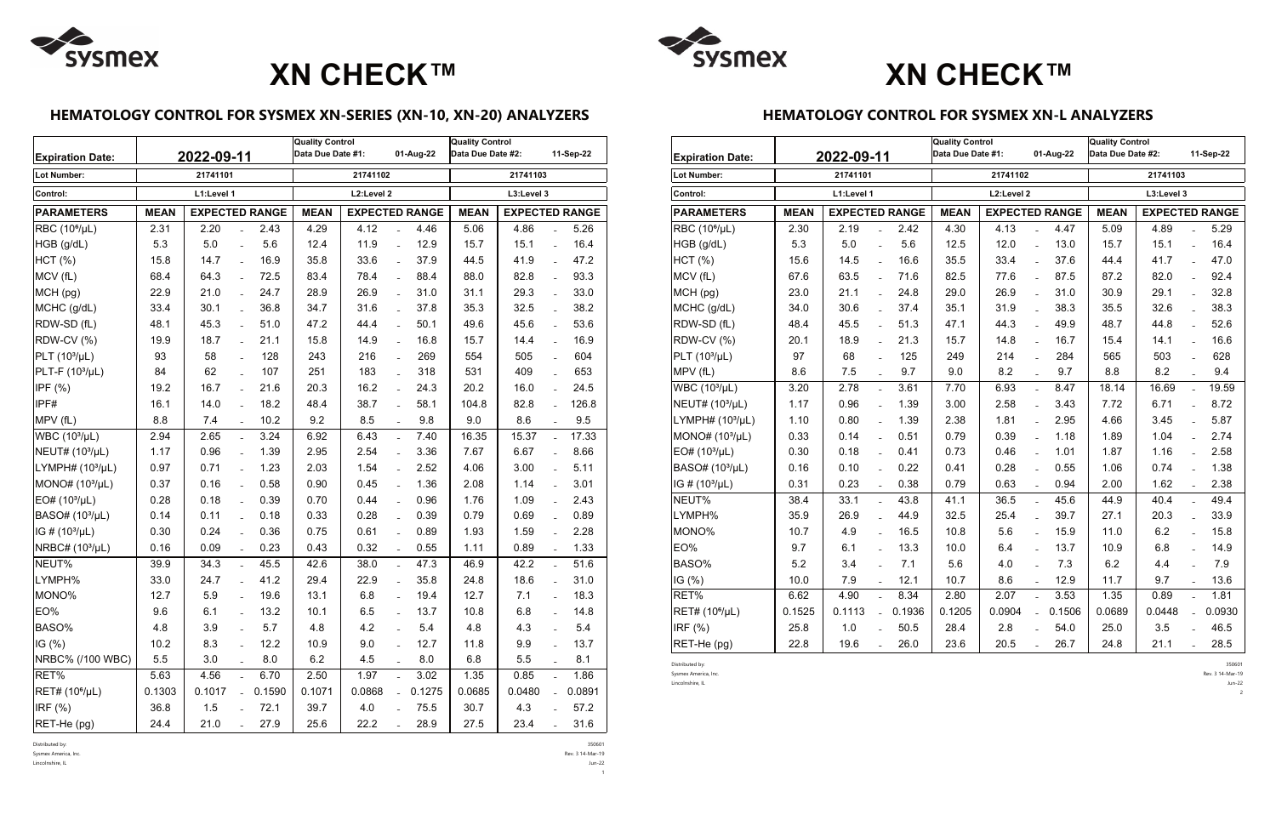## **HEMATOLOGY CONTROL FOR SYSMEX XN-SERIES (XN-10, XN-20) ANALYZERS**

| <b>Expiration Date:</b>     |             | 2022-09-11            |                          | <b>Quality Control</b><br>Data Due Date #1:<br>01-Aug-22 |             |                       | <b>Quality Control</b><br>Data Due Date #2: |                                      |        | 11-Sep-22 |                           |        |
|-----------------------------|-------------|-----------------------|--------------------------|----------------------------------------------------------|-------------|-----------------------|---------------------------------------------|--------------------------------------|--------|-----------|---------------------------|--------|
| <b>Lot Number:</b>          |             | 21741101              |                          |                                                          | 21741102    |                       | 21741103                                    |                                      |        |           |                           |        |
| Control:                    |             | L1:Level 1            |                          |                                                          | L2:Level 2  |                       | L3:Level 3                                  |                                      |        |           |                           |        |
| <b>PARAMETERS</b>           | <b>MEAN</b> | <b>EXPECTED RANGE</b> |                          |                                                          | <b>MEAN</b> | <b>EXPECTED RANGE</b> |                                             | <b>EXPECTED RANGE</b><br><b>MEAN</b> |        |           |                           |        |
| RBC (10 <sup>6</sup> /µL)   | 2.31        | 2.20                  |                          | 2.43                                                     | 4.29        | 4.12                  |                                             | 4.46                                 | 5.06   | 4.86      |                           | 5.26   |
| HGB (g/dL)                  | 5.3         | 5.0                   | $\overline{a}$           | 5.6                                                      | 12.4        | 11.9                  | $\overline{a}$                              | 12.9                                 | 15.7   | 15.1      | $\equiv$                  | 16.4   |
| HCT (%)                     | 15.8        | 14.7                  | $\overline{a}$           | 16.9                                                     | 35.8        | 33.6                  | $\overline{a}$                              | 37.9                                 | 44.5   | 41.9      | $\overline{\phantom{a}}$  | 47.2   |
| MCV (fL)                    | 68.4        | 64.3                  | $\overline{a}$           | 72.5                                                     | 83.4        | 78.4                  | $\overline{a}$                              | 88.4                                 | 88.0   | 82.8      | $\equiv$                  | 93.3   |
| MCH (pg)                    | 22.9        | 21.0                  | $\overline{a}$           | 24.7                                                     | 28.9        | 26.9                  | $\overline{a}$                              | 31.0                                 | 31.1   | 29.3      | $\mathbb{L}^{\mathbb{N}}$ | 33.0   |
| MCHC (g/dL)                 | 33.4        | 30.1                  |                          | 36.8                                                     | 34.7        | 31.6                  |                                             | 37.8                                 | 35.3   | 32.5      |                           | 38.2   |
| RDW-SD (fL)                 | 48.1        | 45.3                  | $\overline{a}$           | 51.0                                                     | 47.2        | 44.4                  | $\overline{a}$                              | 50.1                                 | 49.6   | 45.6      | $\overline{a}$            | 53.6   |
| RDW-CV (%)                  | 19.9        | 18.7                  | $\overline{a}$           | 21.1                                                     | 15.8        | 14.9                  | $\overline{a}$                              | 16.8                                 | 15.7   | 14.4      | $\overline{a}$            | 16.9   |
| $PLT (103/\mu L)$           | 93          | 58                    | $\equiv$                 | 128                                                      | 243         | 216                   | $\frac{1}{2}$                               | 269                                  | 554    | 505       | $\overline{a}$            | 604    |
| $PLT-F (103/µL)$            | 84          | 62                    | $\overline{a}$           | 107                                                      | 251         | 183                   | $\overline{a}$                              | 318                                  | 531    | 409       | $\overline{a}$            | 653    |
| IPF $(%)$                   | 19.2        | 16.7                  |                          | 21.6                                                     | 20.3        | 16.2                  | $\overline{a}$                              | 24.3                                 | 20.2   | 16.0      | $\overline{a}$            | 24.5   |
| IPF#                        | 16.1        | 14.0                  |                          | 18.2                                                     | 48.4        | 38.7                  | $\overline{a}$                              | 58.1                                 | 104.8  | 82.8      |                           | 126.8  |
| MPV (fL)                    | 8.8         | 7.4                   |                          | 10.2                                                     | 9.2         | 8.5                   | $\overline{a}$                              | 9.8                                  | 9.0    | 8.6       | $\equiv$                  | 9.5    |
| WBC (10 <sup>3</sup> /µL)   | 2.94        | 2.65                  | $\overline{a}$           | 3.24                                                     | 6.92        | 6.43                  | $\overline{a}$                              | 7.40                                 | 16.35  | 15.37     | $\mathbb{Z}^{\mathbb{Z}}$ | 17.33  |
| NEUT# (10 <sup>3</sup> /µL) | 1.17        | 0.96                  |                          | 1.39                                                     | 2.95        | 2.54                  |                                             | 3.36                                 | 7.67   | 6.67      |                           | 8.66   |
| LYMPH# $(103/µL)$           | 0.97        | 0.71                  | $\overline{\phantom{a}}$ | 1.23                                                     | 2.03        | 1.54                  | $\overline{a}$                              | 2.52                                 | 4.06   | 3.00      | $\equiv$                  | 5.11   |
| MONO# (10 <sup>3</sup> /µL) | 0.37        | 0.16                  | $\overline{a}$           | 0.58                                                     | 0.90        | 0.45                  | $\overline{a}$                              | 1.36                                 | 2.08   | 1.14      | $\equiv$                  | 3.01   |
| EO# (10 <sup>3</sup> /µL)   | 0.28        | 0.18                  | $\equiv$                 | 0.39                                                     | 0.70        | 0.44                  | $\overline{a}$                              | 0.96                                 | 1.76   | 1.09      | $\overline{a}$            | 2.43   |
| BASO# (10 <sup>3</sup> /µL) | 0.14        | 0.11                  | $\overline{a}$           | 0.18                                                     | 0.33        | 0.28                  | $\overline{a}$                              | 0.39                                 | 0.79   | 0.69      | $\overline{a}$            | 0.89   |
| IG# (10 <sup>3</sup> /µL)   | 0.30        | 0.24                  |                          | 0.36                                                     | 0.75        | 0.61                  | $\overline{a}$                              | 0.89                                 | 1.93   | 1.59      | $\equiv$                  | 2.28   |
| NRBC# (103/µL)              | 0.16        | 0.09                  |                          | 0.23                                                     | 0.43        | 0.32                  |                                             | 0.55                                 | 1.11   | 0.89      |                           | 1.33   |
| NEUT%                       | 39.9        | 34.3                  |                          | 45.5                                                     | 42.6        | 38.0                  | $\overline{a}$                              | 47.3                                 | 46.9   | 42.2      | $\mathbb{L}^{\mathbb{R}}$ | 51.6   |
| LYMPH%                      | 33.0        | 24.7                  |                          | 41.2                                                     | 29.4        | 22.9                  | $\overline{a}$                              | 35.8                                 | 24.8   | 18.6      | $\overline{a}$            | 31.0   |
| MONO%                       | 12.7        | 5.9                   | $\overline{a}$           | 19.6                                                     | 13.1        | 6.8                   | $\overline{a}$                              | 19.4                                 | 12.7   | 7.1       | $\overline{a}$            | 18.3   |
| EO%                         | 9.6         | 6.1                   |                          | 13.2                                                     | 10.1        | 6.5                   |                                             | 13.7                                 | 10.8   | 6.8       |                           | 14.8   |
| BASO%                       | 4.8         | 3.9                   |                          | 5.7                                                      | 4.8         | 4.2                   |                                             | 5.4                                  | 4.8    | 4.3       |                           | 5.4    |
| IG $(%)$                    | 10.2        | 8.3                   |                          | 12.2                                                     | 10.9        | 9.0                   |                                             | 12.7                                 | 11.8   | 9.9       |                           | 13.7   |
| NRBC% (/100 WBC)            | 5.5         | 3.0                   |                          | 8.0                                                      | 6.2         | 4.5                   |                                             | 8.0                                  | 6.8    | $5.5\,$   |                           | 8.1    |
| RET%                        | 5.63        | 4.56                  |                          | 6.70                                                     | 2.50        | 1.97                  |                                             | 3.02                                 | 1.35   | 0.85      | $\equiv$                  | 1.86   |
| RET# (10 <sup>6</sup> /µL)  | 0.1303      | 0.1017                | $\overline{a}$           | 0.1590                                                   | 0.1071      | 0.0868                |                                             | 0.1275                               | 0.0685 | 0.0480    |                           | 0.0891 |
| IRF (%)                     | 36.8        | 1.5                   |                          | 72.1                                                     | 39.7        | 4.0                   |                                             | 75.5                                 | 30.7   | 4.3       |                           | 57.2   |
| RET-He (pg)                 | 24.4        | 21.0                  |                          | 27.9                                                     | 25.6        | 22.2                  |                                             | 28.9                                 | 27.5   | 23.4      |                           | 31.6   |

Distributed by: 350601

Sysmex America, Inc. Rev. 3 14-Mar-19

Lincolnshire, IL Jun-22



 $1<sup>1</sup>$ 

### **HEMATOLOGY CONTROL FOR SYSMEX XN-L ANALYZERS**

| <b>Expiration Date:</b>     |             | 2022-09-11            |                           | <b>Quality Control</b><br>Data Due Date #1: |             | 01-Aug-22             | <b>Quality Control</b><br>Data Due Date #2: |        |             | 11-Sep-22             |                |        |  |
|-----------------------------|-------------|-----------------------|---------------------------|---------------------------------------------|-------------|-----------------------|---------------------------------------------|--------|-------------|-----------------------|----------------|--------|--|
| <b>Lot Number:</b>          |             | 21741101              |                           |                                             | 21741102    |                       | 21741103                                    |        |             |                       |                |        |  |
| Control:                    |             | L1:Level 1            |                           |                                             | L2:Level 2  |                       | L3:Level 3                                  |        |             |                       |                |        |  |
| <b>PARAMETERS</b>           | <b>MEAN</b> | <b>EXPECTED RANGE</b> |                           |                                             | <b>MEAN</b> | <b>EXPECTED RANGE</b> |                                             |        | <b>MEAN</b> | <b>EXPECTED RANGE</b> |                |        |  |
| RBC (10 <sup>6</sup> /µL)   | 2.30        | 2.19                  |                           | 2.42                                        | 4.30        | 4.13                  | $\overline{a}$                              | 4.47   | 5.09        | 4.89                  | $\overline{a}$ | 5.29   |  |
| HGB (g/dL)                  | 5.3         | 5.0                   | $\equiv$                  | 5.6                                         | 12.5        | 12.0                  | $\overline{a}$                              | 13.0   | 15.7        | 15.1                  | $\overline{a}$ | 16.4   |  |
| HCT(%)                      | 15.6        | 14.5                  | $\overline{a}$            | 16.6                                        | 35.5        | 33.4                  | $\overline{a}$                              | 37.6   | 44.4        | 41.7                  | $\overline{a}$ | 47.0   |  |
| MCV (fL)                    | 67.6        | 63.5                  | $\mathbb{L}^{\mathbb{N}}$ | 71.6                                        | 82.5        | 77.6                  | $\overline{a}$                              | 87.5   | 87.2        | 82.0                  | $\equiv$       | 92.4   |  |
| MCH (pg)                    | 23.0        | 21.1                  | $\overline{a}$            | 24.8                                        | 29.0        | 26.9                  | $\overline{a}$                              | 31.0   | 30.9        | 29.1                  | $\overline{a}$ | 32.8   |  |
| MCHC (g/dL)                 | 34.0        | 30.6                  | $\equiv$                  | 37.4                                        | 35.1        | 31.9                  | $\overline{a}$                              | 38.3   | 35.5        | 32.6                  | $\equiv$       | 38.3   |  |
| RDW-SD (fL)                 | 48.4        | 45.5                  | $\overline{a}$            | 51.3                                        | 47.1        | 44.3                  |                                             | 49.9   | 48.7        | 44.8                  | $\overline{a}$ | 52.6   |  |
| RDW-CV (%)                  | 20.1        | 18.9                  | $\overline{a}$            | 21.3                                        | 15.7        | 14.8                  | $\overline{a}$                              | 16.7   | 15.4        | 14.1                  | $\overline{a}$ | 16.6   |  |
| PLT (10 <sup>3</sup> /µL)   | 97          | 68                    | $\overline{\phantom{a}}$  | 125                                         | 249         | 214                   | $\overline{\phantom{a}}$                    | 284    | 565         | 503                   | $\overline{a}$ | 628    |  |
| MPV (fL)                    | 8.6         | 7.5                   |                           | 9.7                                         | 9.0         | 8.2                   |                                             | 9.7    | 8.8         | 8.2                   |                | 9.4    |  |
| WBC (10 <sup>3</sup> /µL)   | 3.20        | 2.78                  | $\mathbb{Z}^{\mathbb{Z}}$ | 3.61                                        | 7.70        | 6.93                  | $\mathbf{r}$                                | 8.47   | 18.14       | 16.69                 | $\mathbb{L}$   | 19.59  |  |
| NEUT# (103/µL)              | 1.17        | 0.96                  | $\overline{a}$            | 1.39                                        | 3.00        | 2.58                  | $\overline{a}$                              | 3.43   | 7.72        | 6.71                  | $\overline{a}$ | 8.72   |  |
| LYMPH# $(103/µL)$           | 1.10        | 0.80                  | $\overline{a}$            | 1.39                                        | 2.38        | 1.81                  | $\overline{a}$                              | 2.95   | 4.66        | 3.45                  | $\overline{a}$ | 5.87   |  |
| MONO# (10 <sup>3</sup> /µL) | 0.33        | 0.14                  | $\overline{a}$            | 0.51                                        | 0.79        | 0.39                  | $\equiv$                                    | 1.18   | 1.89        | 1.04                  | $\overline{a}$ | 2.74   |  |
| EO# (10 <sup>3</sup> /µL)   | 0.30        | 0.18                  | $\overline{a}$            | 0.41                                        | 0.73        | 0.46                  | $\overline{a}$                              | 1.01   | 1.87        | 1.16                  | $\overline{a}$ | 2.58   |  |
| BASO# (10 <sup>3</sup> /µL) | 0.16        | 0.10                  | $\overline{\phantom{a}}$  | 0.22                                        | 0.41        | 0.28                  | $\overline{\phantom{a}}$                    | 0.55   | 1.06        | 0.74                  | $\overline{a}$ | 1.38   |  |
| IG # (10 <sup>3</sup> /µL)  | 0.31        | 0.23                  | $\overline{a}$            | 0.38                                        | 0.79        | 0.63                  |                                             | 0.94   | 2.00        | 1.62                  | $\overline{a}$ | 2.38   |  |
| NEUT%                       | 38.4        | 33.1                  | $\mathbf{r}$              | 43.8                                        | 41.1        | 36.5                  | $\overline{a}$                              | 45.6   | 44.9        | 40.4                  | $\overline{a}$ | 49.4   |  |
| LYMPH%                      | 35.9        | 26.9                  | $\mathbb{L}^{\mathbb{N}}$ | 44.9                                        | 32.5        | 25.4                  | $\overline{a}$                              | 39.7   | 27.1        | 20.3                  | $\equiv$       | 33.9   |  |
| MONO%                       | 10.7        | 4.9                   | $\overline{a}$            | 16.5                                        | 10.8        | 5.6                   |                                             | 15.9   | 11.0        | 6.2                   | $\overline{a}$ | 15.8   |  |
| EO%                         | 9.7         | 6.1                   | $\overline{a}$            | 13.3                                        | 10.0        | 6.4                   | $\equiv$                                    | 13.7   | 10.9        | 6.8                   | $\overline{a}$ | 14.9   |  |
| BASO%                       | 5.2         | 3.4                   | $\overline{a}$            | 7.1                                         | 5.6         | 4.0                   | $\overline{a}$                              | 7.3    | 6.2         | 4.4                   | $\overline{a}$ | 7.9    |  |
| IG(%)                       | 10.0        | 7.9                   | $\overline{\phantom{a}}$  | 12.1                                        | 10.7        | 8.6                   | $\overline{a}$                              | 12.9   | 11.7        | 9.7                   | $\overline{a}$ | 13.6   |  |
| RET%                        | 6.62        | 4.90                  |                           | 8.34                                        | 2.80        | 2.07                  |                                             | 3.53   | 1.35        | 0.89                  | $\overline{a}$ | 1.81   |  |
| RET# (10 <sup>6</sup> /µL)  | 0.1525      | 0.1113                | $\mathbb{R}^{\mathbb{Z}}$ | 0.1936                                      | 0.1205      | 0.0904                | $\overline{a}$                              | 0.1506 | 0.0689      | 0.0448                | $\overline{a}$ | 0.0930 |  |
| IRF (%)                     | 25.8        | 1.0                   |                           | 50.5                                        | 28.4        | 2.8                   |                                             | 54.0   | 25.0        | 3.5                   | $\overline{a}$ | 46.5   |  |
| RET-He (pg)                 | 22.8        | 19.6                  | $\overline{a}$            | 26.0                                        | 23.6        | 20.5                  | $\overline{a}$                              | 26.7   | 24.8        | 21.1                  | $\overline{a}$ | 28.5   |  |

Distributed by: 350601 Sysmex America, Inc. Rev. 3 14-Mar-19 Lincolnshire, IL Jun-22 2